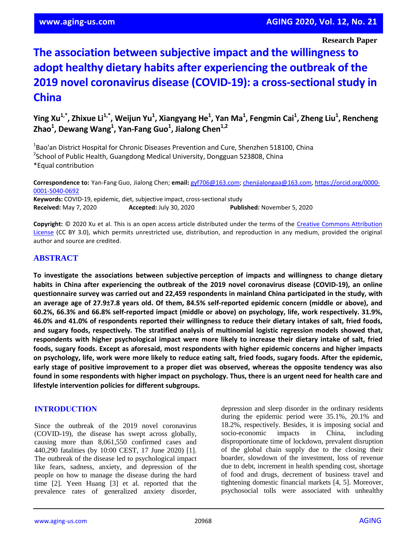#### **Research Paper**

# **The association between subjective impact and the willingness to adopt healthy dietary habits after experiencing the outbreak of the 2019 novel coronavirus disease (COVID-19): a cross-sectional study in China**

**Ying Xu1,\*, Zhixue Li1,\*, Weijun Yu<sup>1</sup> , Xiangyang He<sup>1</sup> , Yan Ma<sup>1</sup> , Fengmin Cai<sup>1</sup> , Zheng Liu<sup>1</sup> , Rencheng Zhao<sup>1</sup> , Dewang Wang<sup>1</sup> , Yan-Fang Guo<sup>1</sup> , Jialong Chen1,2**

<sup>1</sup>Bao'an District Hospital for Chronic Diseases Prevention and Cure, Shenzhen 518100, China <sup>2</sup>School of Public Health, Guangdong Medical University, Dongguan 523808, China \*Equal contribution

**Correspondence to:** Yan-Fang Guo, Jialong Chen; **email:** gyf706@163.com; chenjialongaa@163.com, https://orcid.org/0000- 0001-5040-0692

**Keywords:** COVID-19, epidemic, diet, subjective impact, cross-sectional study **Received:** May 7, 2020 **Accepted:** July 30, 2020 **Published:** November 5, 2020

**Copyright:** © 2020 Xu et al. This is an open access article distributed under the terms of the Creative Commons Attribution License (CC BY 3.0), which permits unrestricted use, distribution, and reproduction in any medium, provided the original author and source are credited.

# **ABSTRACT**

**To investigate the associations between subjective perception of impacts and willingness to change dietary habits in China after experiencing the outbreak of the 2019 novel coronavirus disease (COVID-19), an online questionnaire survey was carried out and 22,459 respondents in mainland China participated in the study, with** an average age of 27.9±7.8 years old. Of them, 84.5% self-reported epidemic concern (middle or above), and **60.2%, 66.3% and 66.8% self-reported impact (middle or above) on psychology, life, work respectively. 31.9%,** 46.0% and 41.0% of respondents reported their willingness to reduce their dietary intakes of salt, fried foods, **and sugary foods, respectively. The stratified analysis of multinomial logistic regression models showed that, respondents with higher psychological impact were more likely to increase their dietary intake of salt, fried foods, sugary foods. Except as aforesaid, most respondents with higher epidemic concerns and higher impacts** on psychology, life, work were more likely to reduce eating salt, fried foods, sugary foods. After the epidemic, **early stage of positive improvement to a proper diet was observed, whereas the opposite tendency was also** found in some respondents with higher impact on psychology. Thus, there is an urgent need for health care and **lifestyle intervention policies for different subgroups.**

#### **INTRODUCTION**

Since the outbreak of the 2019 novel coronavirus (COVID-19), the disease has swept across globally, causing more than 8,061,550 confirmed cases and 440,290 fatalities (by 10:00 CEST, 17 June 2020) [1]. The outbreak of the disease led to psychological impact like fears, sadness, anxiety, and depression of the people on how to manage the disease during the hard time [2]. Yeen Huang [3] et al. reported that the prevalence rates of generalized anxiety disorder, depression and sleep disorder in the ordinary residents during the epidemic period were 35.1%, 20.1% and 18.2%, respectively. Besides, it is imposing social and socio-economic impacts in China, including disproportionate time of lockdown, prevalent disruption of the global chain supply due to the closing their boarder, slowdown of the investment, loss of revenue due to debt, increment in health spending cost, shortage of food and drugs, decrement of business travel and tightening domestic financial markets [4, 5]. Moreover, psychosocial tolls were associated with unhealthy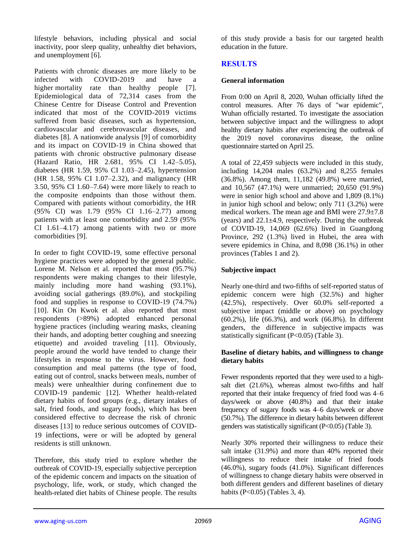lifestyle behaviors, including physical and social inactivity, poor sleep quality, unhealthy diet behaviors, and unemployment [6].

Patients with chronic diseases are more likely to be infected with COVID-2019 and have a higher mortality rate than healthy people [7]. Epidemiological data of 72,314 cases from the Chinese Centre for Disease Control and Prevention indicated that most of the COVID-2019 victims suffered from basic diseases, such as hypertension, cardiovascular and cerebrovascular diseases, and diabetes [8]. A nationwide analysis [9] of comorbidity and its impact on COVID-19 in China showed that patients with chronic obstructive pulmonary disease (Hazard Ratio, HR 2.681, 95% CI 1.42–5.05), diabetes (HR 1.59, 95% CI 1.03–2.45), hypertension (HR 1.58, 95% CI 1.07–2.32), and malignancy (HR 3.50, 95% CI 1.60–7.64) were more likely to reach to the composite endpoints than those without them. Compared with patients without comorbidity, the HR (95% CI) was 1.79 (95% CI 1.16–2.77) among patients with at least one comorbidity and 2.59 (95% CI 1.61–4.17) among patients with two or more comorbidities [9].

In order to fight COVID-19, some effective personal hygiene practices were adopted by the general public. Lorene M. Nelson et al. reported that most (95.7%) respondents were making changes to their lifestyle, mainly including more hand washing (93.1%), avoiding social gatherings (89.0%), and stockpiling food and supplies in response to COVID-19 (74.7%) [10]. Kin On Kwok et al. also reported that most respondents (>89%) adopted enhanced personal hygiene practices (including wearing masks, cleaning their hands, and adopting better coughing and sneezing etiquette) and avoided traveling [11]. Obviously, people around the world have tended to change their lifestyles in response to the virus. However, food consumption and meal patterns (the type of food, eating out of control, snacks between meals, number of meals) were unhealthier during confinement due to COVID-19 pandemic [12]. Whether health-related dietary habits of food groups (e.g., dietary intakes of salt, fried foods, and sugary foods), which has been considered effective to decrease the risk of chronic diseases [13] to reduce serious outcomes of COVID-19 infections, were or will be adopted by general residents is still unknown.

Therefore, this study tried to explore whether the outbreak of COVID-19, especially subjective perception of the epidemic concern and impacts on the situation of psychology, life, work, or study, which changed the health-related diet habits of Chinese people. The results

of this study provide a basis for our targeted health education in the future.

# **RESULTS**

## **General information**

From 0:00 on April 8, 2020, Wuhan officially lifted the control measures. After 76 days of "war epidemic", Wuhan officially restarted. To investigate the association between subjective impact and the willingness to adopt healthy dietary habits after experiencing the outbreak of the 2019 novel coronavirus disease, the online questionnaire started on April 25.

A total of 22,459 subjects were included in this study, including 14,204 males (63.2%) and 8,255 females (36.8%). Among them, 11,182 (49.8%) were married, and 10,567 (47.1%) were unmarried; 20,650 (91.9%) were in senior high school and above and 1,809 (8.1%) in junior high school and below; only 711 (3.2%) were medical workers. The mean age and BMI were 27.9±7.8 (years) and  $22.1 \pm 4.9$ , respectively. During the outbreak of COVID-19, 14,069 (62.6%) lived in Guangdong Province, 292 (1.3%) lived in Hubei, the area with severe epidemics in China, and 8,098 (36.1%) in other provinces (Tables 1 and 2).

# **Subjective impact**

Nearly one-third and two-fifths of self-reported status of epidemic concern were high (32.5%) and higher (42.5%), respectively. Over 60.0% self-reported a subjective impact (middle or above) on psychology (60.2%), life (66.3%), and work (66.8%). In different genders, the difference in subjective impacts was statistically significant (P<0.05) (Table 3).

#### **Baseline of dietary habits, and willingness to change dietary habits**

Fewer respondents reported that they were used to a highsalt diet (21.6%), whereas almost two-fifths and half reported that their intake frequency of fried food was 4–6 days/week or above (40.8%) and that their intake frequency of sugary foods was 4–6 days/week or above (50.7%). The difference in dietary habits between different genders was statistically significant (P<0.05) (Table 3).

Nearly 30% reported their willingness to reduce their salt intake (31.9%) and more than 40% reported their willingness to reduce their intake of fried foods (46.0%), sugary foods (41.0%). Significant differences of willingness to change dietary habits were observed in both different genders and different baselines of dietary habits (P<0.05) (Tables 3, 4).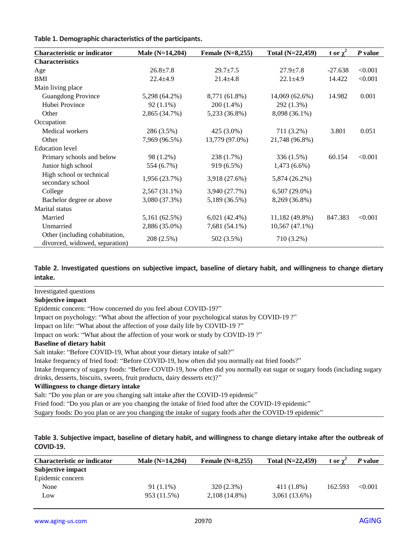| Table 1. Demographic characteristics of the participants. |  |  |
|-----------------------------------------------------------|--|--|
|-----------------------------------------------------------|--|--|

| <b>Characteristic or indicator</b>                               | Male (N=14,204) | Female $(N=8,255)$ | Total (N=22,459) | $\frac{t}{x}$ or $\chi^2$ | P value |
|------------------------------------------------------------------|-----------------|--------------------|------------------|---------------------------|---------|
| <b>Characteristics</b>                                           |                 |                    |                  |                           |         |
| Age                                                              | $26.8 \pm 7.8$  | $29.7 \pm 7.5$     | $27.9 \pm 7.8$   | $-27.638$                 | < 0.001 |
| BMI                                                              | $22.4 \pm 4.9$  | $21.4 \pm 4.8$     | $22.1 \pm 4.9$   | 14.422                    | < 0.001 |
| Main living place                                                |                 |                    |                  |                           |         |
| <b>Guangdong Province</b>                                        | 5,298 (64.2%)   | 8,771 (61.8%)      | 14,069 (62.6%)   | 14.982                    | 0.001   |
| Hubei Province                                                   | $92(1.1\%)$     | 200 (1.4%)         | 292 (1.3%)       |                           |         |
| Other                                                            | 2,865 (34.7%)   | 5,233 (36.8%)      | 8,098 (36.1%)    |                           |         |
| Occupation                                                       |                 |                    |                  |                           |         |
| Medical workers                                                  | 286 (3.5%)      | $425(3.0\%)$       | 711 (3.2%)       | 3.801                     | 0.051   |
| Other                                                            | 7,969 (96.5%)   | 13,779 (97.0%)     | 21,748 (96.8%)   |                           |         |
| <b>Education</b> level                                           |                 |                    |                  |                           |         |
| Primary schools and below                                        | 98 (1.2%)       | 238 (1.7%)         | 336 (1.5%)       | 60.154                    | < 0.001 |
| Junior high school                                               | 554 (6.7%)      | 919 (6.5%)         | $1,473(6.6\%)$   |                           |         |
| High school or technical<br>secondary school                     | 1,956 (23.7%)   | 3,918 (27.6%)      | 5,874 (26.2%)    |                           |         |
| College                                                          | $2,567(31.1\%)$ | 3,940 (27.7%)      | $6,507(29.0\%)$  |                           |         |
| Bachelor degree or above                                         | 3,080 (37.3%)   | 5,189 (36.5%)      | 8,269 (36.8%)    |                           |         |
| Marital status                                                   |                 |                    |                  |                           |         |
| Married                                                          | 5,161 (62.5%)   | $6,021(42.4\%)$    | 11,182 (49.8%)   | 847.383                   | < 0.001 |
| Unmarried                                                        | 2,886 (35.0%)   | 7,681 (54.1%)      | $10,567(47.1\%)$ |                           |         |
| Other (including cohabitation,<br>divorced, widowed, separation) | 208 (2.5%)      | 502 (3.5%)         | 710 (3.2%)       |                           |         |

#### **Table 2. Investigated questions on subjective impact, baseline of dietary habit, and willingness to change dietary intake.**

#### Investigated questions

#### **Subjective impact**

Epidemic concern: "How concerned do you feel about COVID-19?"

Impact on psychology: "What about the affection of your psychological status by COVID-19 ?"

Impact on life: "What about the affection of your daily life by COVID-19 ?"

Impact on work: "What about the affection of your work or study by COVID-19 ?"

#### **Baseline of dietary habit**

Salt intake: "Before COVID-19, What about your dietary intake of salt?"

Intake frequency of fried food: "Before COVID-19, how often did you normally eat fried foods?"

Intake frequency of sugary foods: "Before COVID-19, how often did you normally eat sugar or sugary foods (including sugary drinks, desserts, biscuits, sweets, fruit products, dairy desserts etc)?"

#### **Willingness to change dietary intake**

Salt: "Do you plan or are you changing salt intake after the COVID-19 epidemic"

Fried food: "Do you plan or are you changing the intake of fried food after the COVID-19 epidemic"

Sugary foods: Do you plan or are you changing the intake of sugary foods after the COVID-19 epidemic"

#### **Table 3. Subjective impact, baseline of dietary habit, and willingness to change dietary intake after the outbreak of COVID-19.**

| <b>Characteristic or indicator</b> | Male $(N=14,204)$ | Female $(N=8,255)$ | Total $(N=22,459)$ | t or y  | P value |
|------------------------------------|-------------------|--------------------|--------------------|---------|---------|
| Subjective impact                  |                   |                    |                    |         |         |
| Epidemic concern                   |                   |                    |                    |         |         |
| None                               | $91(1.1\%)$       | 320 (2.3%)         | 411 (1.8%)         | 162.593 | < 0.001 |
| Low                                | 953 (11.5%)       | $2,108(14.8\%)$    | $3,061(13.6\%)$    |         |         |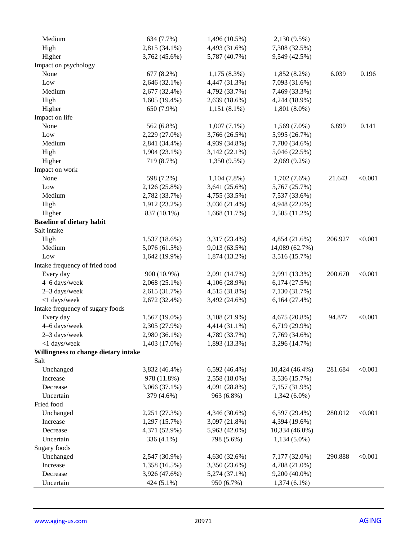| Medium                               | 634 (7.7%)      | 1,496 (10.5%)   | 2,130 (9.5%)   |         |         |
|--------------------------------------|-----------------|-----------------|----------------|---------|---------|
| High                                 | 2,815 (34.1%)   | 4,493 (31.6%)   | 7,308 (32.5%)  |         |         |
| Higher                               | 3,762 (45.6%)   | 5,787 (40.7%)   | 9,549 (42.5%)  |         |         |
| Impact on psychology                 |                 |                 |                |         |         |
| None                                 | 677 (8.2%)      | $1,175(8.3\%)$  | $1,852(8.2\%)$ | 6.039   | 0.196   |
| Low                                  | 2,646 (32.1%)   | 4,447 (31.3%)   | 7,093 (31.6%)  |         |         |
| Medium                               | 2,677 (32.4%)   | 4,792 (33.7%)   | 7,469 (33.3%)  |         |         |
| High                                 | $1,605(19.4\%)$ | 2,639 (18.6%)   | 4,244 (18.9%)  |         |         |
| Higher                               | 650 (7.9%)      | $1,151(8.1\%)$  | $1,801(8.0\%)$ |         |         |
| Impact on life                       |                 |                 |                |         |         |
| None                                 | 562 (6.8%)      | $1,007(7.1\%)$  | $1,569(7.0\%)$ | 6.899   | 0.141   |
| Low                                  | 2,229 (27.0%)   | 3,766 (26.5%)   | 5,995 (26.7%)  |         |         |
| Medium                               | 2,841 (34.4%)   | 4,939 (34.8%)   | 7,780 (34.6%)  |         |         |
| High                                 | $1,904(23.1\%)$ | $3,142(22.1\%)$ | 5,046 (22.5%)  |         |         |
| Higher                               | 719 (8.7%)      | 1,350 (9.5%)    | 2,069 (9.2%)   |         |         |
| Impact on work                       |                 |                 |                |         |         |
| None                                 | 598 (7.2%)      | $1,104(7.8\%)$  | $1,702(7.6\%)$ | 21.643  | < 0.001 |
| Low                                  | 2,126 (25.8%)   | $3,641(25.6\%)$ | 5,767 (25.7%)  |         |         |
| Medium                               | 2,782 (33.7%)   | 4,755 (33.5%)   | 7,537 (33.6%)  |         |         |
| High                                 | 1,912 (23.2%)   | $3,036(21.4\%)$ | 4,948 (22.0%)  |         |         |
| Higher                               | 837 (10.1%)     | 1,668(11.7%)    | 2,505 (11.2%)  |         |         |
| <b>Baseline of dietary habit</b>     |                 |                 |                |         |         |
| Salt intake                          |                 |                 |                |         |         |
| High                                 | 1,537 (18.6%)   | 3,317 (23.4%)   | 4,854 (21.6%)  | 206.927 | < 0.001 |
| Medium                               | 5,076 (61.5%)   | 9,013 (63.5%)   | 14,089 (62.7%) |         |         |
| Low                                  | $1,642(19.9\%)$ | 1,874 (13.2%)   | 3,516 (15.7%)  |         |         |
| Intake frequency of fried food       |                 |                 |                |         |         |
| Every day                            | 900 (10.9%)     | 2,091 (14.7%)   | 2,991 (13.3%)  | 200.670 | < 0.001 |
| 4-6 days/week                        | 2,068 (25.1%)   | 4,106 (28.9%)   | 6,174(27.5%)   |         |         |
| 2-3 days/week                        | 2,615 (31.7%)   | 4,515 (31.8%)   | 7,130 (31.7%)  |         |         |
| <1 days/week                         | 2,672 (32.4%)   | 3,492 (24.6%)   | 6,164(27.4%)   |         |         |
| Intake frequency of sugary foods     |                 |                 |                |         |         |
| Every day                            | 1,567 (19.0%)   | 3,108 (21.9%)   | 4,675 (20.8%)  | 94.877  | < 0.001 |
| 4-6 days/week                        | 2,305 (27.9%)   | 4,414 (31.1%)   | 6,719 (29.9%)  |         |         |
| 2-3 days/week                        | 2,980 (36.1%)   | 4,789 (33.7%)   | 7,769 (34.6%)  |         |         |
| <1 days/week                         | 1,403 (17.0%)   | 1,893 (13.3%)   | 3,296 (14.7%)  |         |         |
| Willingness to change dietary intake |                 |                 |                |         |         |
| Salt                                 |                 |                 |                |         |         |
| Unchanged                            | 3,832 (46.4%)   | 6,592 (46.4%)   | 10,424 (46.4%) | 281.684 | < 0.001 |
| Increase                             | 978 (11.8%)     | 2,558 (18.0%)   | 3,536 (15.7%)  |         |         |
| Decrease                             | 3,066 (37.1%)   | 4,091 (28.8%)   | 7,157 (31.9%)  |         |         |
| Uncertain                            | 379 (4.6%)      | 963 (6.8%)      | $1,342(6.0\%)$ |         |         |
| Fried food                           |                 |                 |                |         |         |
| Unchanged                            | 2,251 (27.3%)   | 4,346 (30.6%)   | 6,597 (29.4%)  | 280.012 | < 0.001 |
| Increase                             | 1,297 (15.7%)   | 3,097 (21.8%)   | 4,394 (19.6%)  |         |         |
| Decrease                             | 4,371 (52.9%)   | 5,963 (42.0%)   | 10,334 (46.0%) |         |         |
| Uncertain                            | 336 (4.1%)      | 798 (5.6%)      | $1,134(5.0\%)$ |         |         |
| Sugary foods                         |                 |                 |                |         |         |
| Unchanged                            | 2,547 (30.9%)   | 4,630 (32.6%)   | 7,177 (32.0%)  | 290.888 | < 0.001 |
| Increase                             | 1,358 (16.5%)   | 3,350 (23.6%)   | 4,708 (21.0%)  |         |         |
| Decrease                             | 3,926 (47.6%)   | 5,274 (37.1%)   | 9,200 (40.0%)  |         |         |
| Uncertain                            | 424 (5.1%)      | 950 (6.7%)      | $1,374(6.1\%)$ |         |         |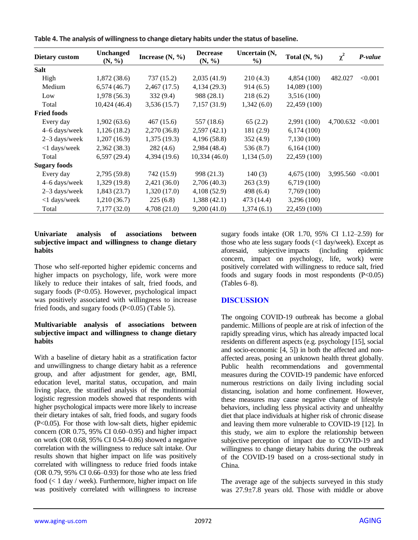| <b>Dietary custom</b> | <b>Unchanged</b><br>(N, %) | Increase $(N, %)$ | <b>Decrease</b><br>(N, %) | Uncertain (N,<br>$\%$ ) | Total $(N, %)$ | $\chi^2$          | P-value |
|-----------------------|----------------------------|-------------------|---------------------------|-------------------------|----------------|-------------------|---------|
| <b>Salt</b>           |                            |                   |                           |                         |                |                   |         |
| High                  | 1,872(38.6)                | 737(15.2)         | 2,035(41.9)               | 210(4.3)                | 4,854 (100)    | 482.027           | < 0.001 |
| Medium                | 6,574(46.7)                | 2,467(17.5)       | 4,134(29.3)               | 914(6.5)                | 14,089 (100)   |                   |         |
| Low                   | 1,978(56.3)                | 332(9.4)          | 988 (28.1)                | 218(6.2)                | 3,516 (100)    |                   |         |
| Total                 | 10,424(46.4)               | 3,536(15.7)       | 7,157(31.9)               | 1,342(6.0)              | 22,459 (100)   |                   |         |
| <b>Fried foods</b>    |                            |                   |                           |                         |                |                   |         |
| Every day             | 1,902(63.6)                | 467 (15.6)        | 557 (18.6)                | 65(2.2)                 | 2,991 (100)    | 4,700.632         | < 0.001 |
| 4–6 days/week         | 1,126(18.2)                | 2,270 (36.8)      | 2,597(42.1)               | 181 (2.9)               | 6,174(100)     |                   |         |
| 2-3 days/week         | 1,207(16.9)                | 1,375(19.3)       | 4,196(58.8)               | 352(4.9)                | 7,130 (100)    |                   |         |
| <1 days/week          | 2,362(38.3)                | 282(4.6)          | 2,984(48.4)               | 536 (8.7)               | 6,164(100)     |                   |         |
| Total                 | 6,597(29.4)                | 4,394(19.6)       | 10,334(46.0)              | 1,134(5.0)              | 22,459 (100)   |                   |         |
| <b>Sugary foods</b>   |                            |                   |                           |                         |                |                   |         |
| Every day             | 2,795 (59.8)               | 742 (15.9)        | 998 (21.3)                | 140(3)                  | 4,675(100)     | 3,995.560 < 0.001 |         |
| 4–6 days/week         | 1,329(19.8)                | 2,421(36.0)       | 2,706 (40.3)              | 263(3.9)                | 6,719(100)     |                   |         |
| 2-3 days/week         | 1,843(23.7)                | 1,320(17.0)       | 4,108(52.9)               | 498 (6.4)               | 7,769 (100)    |                   |         |
| <1 days/week          | 1,210(36.7)                | 225(6.8)          | 1,388(42.1)               | 473 (14.4)              | 3,296 (100)    |                   |         |
| Total                 | 7,177(32.0)                | 4,708(21.0)       | 9,200(41.0)               | 1,374(6.1)              | 22,459 (100)   |                   |         |

**Table 4. The analysis of willingness to change dietary habits under the status of baseline.**

#### **Univariate analysis of associations between subjective impact and willingness to change dietary habits**

Those who self-reported higher epidemic concerns and higher impacts on psychology, life, work were more likely to reduce their intakes of salt, fried foods, and sugary foods (P<0.05). However, psychological impact was positively associated with willingness to increase fried foods, and sugary foods (P<0.05) (Table 5).

#### **Multivariable analysis of associations between subjective impact and willingness to change dietary habits**

With a baseline of dietary habit as a stratification factor and unwillingness to change dietary habit as a reference group, and after adjustment for gender, age, BMI, education level, marital status, occupation, and main living place, the stratified analysis of the multinomial logistic regression models showed that respondents with higher psychological impacts were more likely to increase their dietary intakes of salt, fried foods, and sugary foods (P<0.05). For those with low-salt diets, higher epidemic concern (OR 0.75, 95% CI 0.60–0.95) and higher impact on work (OR 0.68, 95% CI 0.54–0.86) showed a negative correlation with the willingness to reduce salt intake. Our results shown that higher impact on life was positively correlated with willingness to reduce fried foods intake (OR 0.79, 95% CI 0.66–0.93) for those who ate less fried food (< 1 day / week). Furthermore, higher impact on life was positively correlated with willingness to increase

sugary foods intake (OR 1.70, 95% CI 1.12–2.59) for those who ate less sugary foods (<1 day/week). Except as aforesaid, subjective impacts (including epidemic concern, impact on psychology, life, work) were positively correlated with willingness to reduce salt, fried foods and sugary foods in most respondents  $(P<0.05)$ (Tables 6–8).

# **DISCUSSION**

The ongoing COVID-19 outbreak has become a global pandemic. Millions of people are at risk of infection of the rapidly spreading virus, which has already impacted local residents on different aspects (e.g. psychology [15], social and socio-economic [4, 5]) in both the affected and nonaffected areas, posing an unknown health threat globally. Public health recommendations and governmental measures during the COVID-19 pandemic have enforced numerous restrictions on daily living including social distancing, isolation and home confinement. However, these measures may cause negative change of lifestyle behaviors, including less physical activity and unhealthy diet that place individuals at higher risk of chronic disease and leaving them more vulnerable to COVID-19 [12]. In this study, we aim to explore the relationship between subjective perception of impact due to COVID-19 and willingness to change dietary habits during the outbreak of the COVID-19 based on a cross-sectional study in China.

The average age of the subjects surveyed in this study was 27.9±7.8 years old. Those with middle or above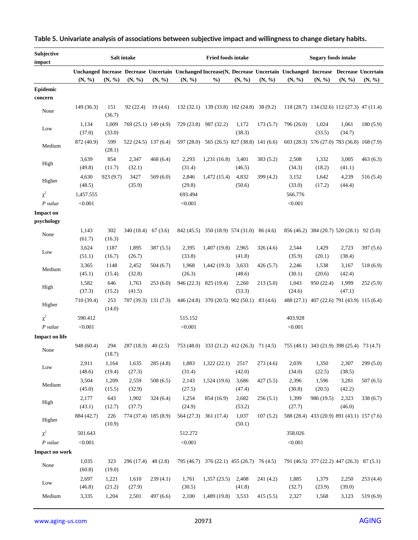| Subjective<br>impact           |                      |                 | Salt intake          |                      |                    | <b>Fried foods intake</b>                  |                 |           |                                                                                                                                | <b>Sugary foods intake</b> |                 |           |
|--------------------------------|----------------------|-----------------|----------------------|----------------------|--------------------|--------------------------------------------|-----------------|-----------|--------------------------------------------------------------------------------------------------------------------------------|----------------------------|-----------------|-----------|
|                                | (N, %)               | (N, %)          | (N, %)               | (N, %)               | (N, %)             | $\%$                                       | (N, %)          | (N, %)    | Unchanged Increase Decrease Uncertain Unchanged Increase(N, Decrease Uncertain Unchanged Increase Decrease Uncertain<br>(N, %) | (N, %)                     | (N, %)          | (N, %)    |
| <b>Epidemic</b><br>concern     |                      |                 |                      |                      |                    |                                            |                 |           |                                                                                                                                |                            |                 |           |
| None                           | 149 (36.3)           | 151<br>(36.7)   | 92 (22.4)            | 19(4.6)              |                    | 132 (32.1) 139 (33.8) 102 (24.8) 38 (9.2)  |                 |           | 118 (28.7) 134 (32.6) 112 (27.3) 47 (11.4)                                                                                     |                            |                 |           |
| Low                            | 1,134<br>(37.0)      | 1,009<br>(33.0) | 769 (25.1) 149 (4.9) |                      | 729 (23.8)         | 987 (32.2)                                 | 1,172<br>(38.3) | 173(5.7)  | 796 (26.0)                                                                                                                     | 1,024<br>(33.5)            | 1,061<br>(34.7) | 180(5.9)  |
| Medium                         | 872 (40.9)           | 599<br>(28.1)   |                      | 522 (24.5) 137 (6.4) |                    | 597 (28.0) 565 (26.5) 827 (38.8) 141 (6.6) |                 |           | 603 (28.3) 576 (27.0) 783 (36.8) 168 (7.9)                                                                                     |                            |                 |           |
| High                           | 3,639<br>(49.8)      | 854<br>(11.7)   | 2,347<br>(32.1)      | 468(6.4)             | 2,293<br>(31.4)    | 1,231(16.8)                                | 3,401<br>(46.5) | 383(5.2)  | 2,508<br>(34.3)                                                                                                                | 1,332<br>(18.2)            | 3,005<br>(41.1) | 463(6.3)  |
| Higher                         | 4,630<br>(48.5)      | 923 (9.7)       | 3427<br>(35.9)       | 569(6.0)             | 2,846<br>(29.8)    | 1,472 (15.4)                               | 4,832<br>(50.6) | 399 (4.2) | 3,152<br>(33.0)                                                                                                                | 1,642<br>(17.2)            | 4,239<br>(44.4) | 516(5.4)  |
| $\chi^2$<br>$P$ value          | 1,457.555<br>< 0.001 |                 |                      |                      | 693.494<br>< 0.001 |                                            |                 |           | 566.776<br>< 0.001                                                                                                             |                            |                 |           |
| <b>Impact on</b><br>psychology |                      |                 |                      |                      |                    |                                            |                 |           |                                                                                                                                |                            |                 |           |
| None                           | 1,143<br>(61.7)      | 302<br>(16.3)   | 340 (18.4)           | 67(3.6)              |                    | 842 (45.5) 350 (18.9) 574 (31.0) 86 (4.6)  |                 |           | 856 (46.2) 384 (20.7) 520 (28.1) 92 (5.0)                                                                                      |                            |                 |           |
| Low                            | 3,624<br>(51.1)      | 1187<br>(16.7)  | 1,895<br>(26.7)      | 387(5.5)             | 2,395<br>(33.8)    | 1,407 (19.8)                               | 2,965<br>(41.8) | 326(4.6)  | 2,544<br>(35.9)                                                                                                                | 1,429<br>(20.1)            | 2,723<br>(38.4) | 397 (5.6) |
| Medium                         | 3,365<br>(45.1)      | 1148<br>(15.4)  | 2,452<br>(32.8)      | 504(6.7)             | 1,968<br>(26.3)    | 1,442 (19.3)                               | 3,633<br>(48.6) | 426(5.7)  | 2,246<br>(30.1)                                                                                                                | 1,538<br>(20.6)            | 3,167<br>(42.4) | 518 (6.9) |
| High                           | 1,582<br>(37.3)      | 646<br>(15.2)   | 1,763<br>(41.5)      | 253(6.0)             | 946 (22.3)         | 825 (19.4)                                 | 2,260<br>(53.3) | 213(5.0)  | 1,043<br>(24.6)                                                                                                                | 950 (22.4)                 | 1,999<br>(47.1) | 252(5.9)  |
| Higher                         | 710 (39.4)           | 253<br>(14.0)   |                      | 707 (39.3) 131 (7.3) |                    | 446 (24.8) 370 (20.5) 902 (50.1)           |                 | 83 (4.6)  | 488 (27.1) 407 (22.6) 791 (43.9) 115 (6.4)                                                                                     |                            |                 |           |
| $\chi^2$                       | 590.412              |                 |                      |                      | 515.152            |                                            |                 |           | 403.928                                                                                                                        |                            |                 |           |
| $P$ value                      | < 0.001              |                 |                      |                      | < 0.001            |                                            |                 |           | < 0.001                                                                                                                        |                            |                 |           |
| <b>Impact on life</b>          |                      |                 |                      |                      |                    |                                            |                 |           |                                                                                                                                |                            |                 |           |
| None                           | 948 (60.4)           | 294<br>(18.7)   | $287(18.3)$ 40(2.5)  |                      |                    | 753 (48.0) 333 (21.2) 412 (26.3) 71 (4.5)  |                 |           | 755 (48.1) 343 (21.9) 398 (25.4) 73 (4.7)                                                                                      |                            |                 |           |
| Low                            | 2,911<br>(48.6)      | 1,164<br>(19.4) | 1,635<br>(27.3)      | 285(4.8)             | 1,883<br>(31.4)    | 1,322(22.1)                                | 2517<br>(42.0)  | 273 (4.6) | 2,039<br>(34.0)                                                                                                                | 1,350<br>(22.5)            | 2,307<br>(38.5) | 299(5.0)  |
| Medium                         | 3,504<br>(45.0)      | 1,209<br>(15.5) | 2,559<br>(32.9)      | 508(6.5)             | 2,143<br>(27.5)    | 1,524 (19.6)                               | 3,686<br>(47.4) | 427(5.5)  | 2,396<br>(30.8)                                                                                                                | 1,596<br>(20.5)            | 3,281<br>(42.2) | 507(6.5)  |
| High                           | 2,177<br>(43.1)      | 643<br>(12.7)   | 1,902<br>(37.7)      | 324(6.4)             | 1,254<br>(24.9)    | 854 (16.9)                                 | 2,682<br>(53.2) | 256(5.1)  | 1,399<br>(27.7)                                                                                                                | 986 (19.5)                 | 2,323<br>(46.0) | 338(6.7)  |
| Higher                         | 884 (42.7)           | 226<br>(10.9)   |                      | 774 (37.4) 185 (8.9) |                    | 564 (27.3) 361 (17.4)                      | 1,037<br>(50.1) | 107(5.2)  | 588 (28.4) 433 (20.9) 891 (43.1) 157 (7.6)                                                                                     |                            |                 |           |
| $\chi^2$                       | 501.643              |                 |                      |                      | 512.272            |                                            |                 |           | 358.026                                                                                                                        |                            |                 |           |
| $P$ value                      | < 0.001              |                 |                      |                      | < 0.001            |                                            |                 |           | < 0.001                                                                                                                        |                            |                 |           |
| <b>Impact on work</b>          |                      |                 |                      |                      |                    |                                            |                 |           |                                                                                                                                |                            |                 |           |
| None                           | 1,035<br>(60.8)      | 323<br>(19.0)   | $296(17.4)$ 48 (2.8) |                      |                    | 795 (46.7) 376 (22.1) 455 (26.7) 76 (4.5)  |                 |           | 791 (46.5) 377 (22.2) 447 (26.3) 87 (5.1)                                                                                      |                            |                 |           |
| Low                            | 2,697<br>(46.8)      | 1,221<br>(21.2) | 1,610<br>(27.9)      | 239(4.1)             | 1,761<br>(30.5)    | 1,357(23.5)                                | 2,408<br>(41.8) | 241 (4.2) | 1,885<br>(32.7)                                                                                                                | 1,379<br>(23.9)            | 2,250<br>(39.0) | 253(4.4)  |
| Medium                         | 3,335                | 1,204           | 2,501                | 497(6.6)             | 2,100              | 1,489(19.8)                                | 3,533           | 415(5.5)  | 2,327                                                                                                                          | 1,568                      | 3,123           | 519(6.9)  |

# **Table 5. Univariate analysis of associations between subjective impact and willingness to change dietary habits.**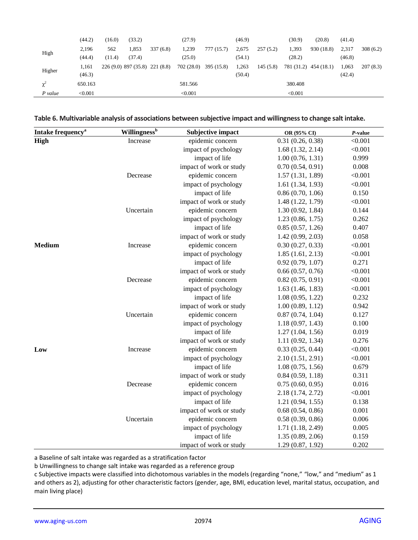|         | (44.2)  | (16.0) | (33.2)                         |          | (27.9)     |            | (46.9) |          | (30.9)  | (20.8)                | (41.4) |          |
|---------|---------|--------|--------------------------------|----------|------------|------------|--------|----------|---------|-----------------------|--------|----------|
|         | 2,196   | 562    | 1,853                          | 337(6.8) | 1,239      | 777 (15.7) | 2,675  | 257(5.2) | 1,393   | 930 (18.8)            | 2,317  | 308(6.2) |
| High    | (44.4)  | (11.4) | (37.4)                         |          | (25.0)     |            | (54.1) |          | (28.2)  |                       | (46.8) |          |
|         | 1.161   |        | 226 (9.0) 897 (35.8) 221 (8.8) |          | 702 (28.0) | 395 (15.8) | 1,263  | 145(5.8) |         | 781 (31.2) 454 (18.1) | 1,063  | 207(8.3) |
| Higher  | (46.3)  |        |                                |          |            |            | (50.4) |          |         |                       | (42.4) |          |
| χ       | 650.163 |        |                                |          | 581.566    |            |        |          | 380.408 |                       |        |          |
| P value | < 0.001 |        |                                |          | < 0.001    |            |        |          | < 0.001 |                       |        |          |

**Table 6. Multivariable analysis of associations between subjective impact and willingness to change salt intake.**

| Intake frequency <sup>a</sup> | <b>Willingness</b> <sup>b</sup> | <b>Subjective impact</b> | OR (95% CI)       | $P$ -value |
|-------------------------------|---------------------------------|--------------------------|-------------------|------------|
| High                          | Increase                        | epidemic concern         | 0.31(0.26, 0.38)  | < 0.001    |
|                               |                                 | impact of psychology     | 1.68(1.32, 2.14)  | < 0.001    |
|                               |                                 | impact of life           | 1.00(0.76, 1.31)  | 0.999      |
|                               |                                 | impact of work or study  | 0.70(0.54, 0.91)  | 0.008      |
|                               | Decrease                        | epidemic concern         | 1.57(1.31, 1.89)  | < 0.001    |
|                               |                                 | impact of psychology     | 1.61(1.34, 1.93)  | < 0.001    |
|                               |                                 | impact of life           | 0.86(0.70, 1.06)  | 0.150      |
|                               |                                 | impact of work or study  | 1.48 (1.22, 1.79) | < 0.001    |
|                               | Uncertain                       | epidemic concern         | 1.30(0.92, 1.84)  | 0.144      |
|                               |                                 | impact of psychology     | 1.23(0.86, 1.75)  | 0.262      |
|                               |                                 | impact of life           | 0.85(0.57, 1.26)  | 0.407      |
|                               |                                 | impact of work or study  | 1.42(0.99, 2.03)  | 0.058      |
| <b>Medium</b>                 | Increase                        | epidemic concern         | 0.30(0.27, 0.33)  | < 0.001    |
|                               |                                 | impact of psychology     | 1.85(1.61, 2.13)  | < 0.001    |
|                               |                                 | impact of life           | 0.92(0.79, 1.07)  | 0.271      |
|                               |                                 | impact of work or study  | 0.66(0.57, 0.76)  | < 0.001    |
|                               | Decrease                        | epidemic concern         | 0.82(0.75, 0.91)  | < 0.001    |
|                               |                                 | impact of psychology     | 1.63(1.46, 1.83)  | < 0.001    |
|                               |                                 | impact of life           | 1.08(0.95, 1.22)  | 0.232      |
|                               |                                 | impact of work or study  | 1.00(0.89, 1.12)  | 0.942      |
|                               | Uncertain                       | epidemic concern         | 0.87(0.74, 1.04)  | 0.127      |
|                               |                                 | impact of psychology     | 1.18(0.97, 1.43)  | 0.100      |
|                               |                                 | impact of life           | 1.27(1.04, 1.56)  | 0.019      |
|                               |                                 | impact of work or study  | 1.11(0.92, 1.34)  | 0.276      |
| Low                           | Increase                        | epidemic concern         | 0.33(0.25, 0.44)  | < 0.001    |
|                               |                                 | impact of psychology     | 2.10(1.51, 2.91)  | < 0.001    |
|                               |                                 | impact of life           | 1.08(0.75, 1.56)  | 0.679      |
|                               |                                 | impact of work or study  | 0.84(0.59, 1.18)  | 0.311      |
|                               | Decrease                        | epidemic concern         | 0.75(0.60, 0.95)  | 0.016      |
|                               |                                 | impact of psychology     | 2.18(1.74, 2.72)  | < 0.001    |
|                               |                                 | impact of life           | 1.21(0.94, 1.55)  | 0.138      |
|                               |                                 | impact of work or study  | 0.68(0.54, 0.86)  | 0.001      |
|                               | Uncertain                       | epidemic concern         | 0.58(0.39, 0.86)  | 0.006      |
|                               |                                 | impact of psychology     | 1.71(1.18, 2.49)  | 0.005      |
|                               |                                 | impact of life           | 1.35(0.89, 2.06)  | 0.159      |
|                               |                                 | impact of work or study  | 1.29(0.87, 1.92)  | 0.202      |

a Baseline of salt intake was regarded as a stratification factor

b Unwillingness to change salt intake was regarded as a reference group

c Subjective impacts were classified into dichotomous variables in the models (regarding "none," "low," and "medium" as 1 and others as 2), adjusting for other characteristic factors (gender, age, BMI, education level, marital status, occupation, and main living place)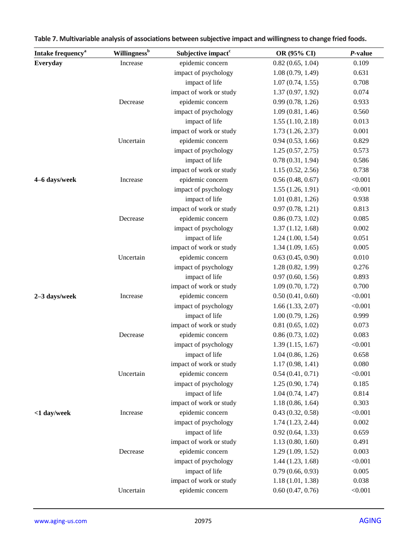| Intake frequency <sup>a</sup> | <b>Willingness</b> <sup>b</sup> | Subjective impact <sup>c</sup> | OR (95% CI)      | P-value |
|-------------------------------|---------------------------------|--------------------------------|------------------|---------|
| Everyday                      | Increase                        | epidemic concern               | 0.82(0.65, 1.04) | 0.109   |
|                               |                                 | impact of psychology           | 1.08(0.79, 1.49) | 0.631   |
|                               |                                 | impact of life                 | 1.07(0.74, 1.55) | 0.708   |
|                               |                                 | impact of work or study        | 1.37(0.97, 1.92) | 0.074   |
|                               | Decrease                        | epidemic concern               | 0.99(0.78, 1.26) | 0.933   |
|                               |                                 | impact of psychology           | 1.09(0.81, 1.46) | 0.560   |
|                               |                                 | impact of life                 | 1.55(1.10, 2.18) | 0.013   |
|                               |                                 | impact of work or study        | 1.73(1.26, 2.37) | 0.001   |
|                               | Uncertain                       | epidemic concern               | 0.94(0.53, 1.66) | 0.829   |
|                               |                                 | impact of psychology           | 1.25(0.57, 2.75) | 0.573   |
|                               |                                 | impact of life                 | 0.78(0.31, 1.94) | 0.586   |
|                               |                                 | impact of work or study        | 1.15(0.52, 2.56) | 0.738   |
| 4-6 days/week                 | Increase                        | epidemic concern               | 0.56(0.48, 0.67) | < 0.001 |
|                               |                                 | impact of psychology           | 1.55(1.26, 1.91) | < 0.001 |
|                               |                                 | impact of life                 | 1.01(0.81, 1.26) | 0.938   |
|                               |                                 | impact of work or study        | 0.97(0.78, 1.21) | 0.813   |
|                               | Decrease                        | epidemic concern               | 0.86(0.73, 1.02) | 0.085   |
|                               |                                 | impact of psychology           | 1.37(1.12, 1.68) | 0.002   |
|                               |                                 | impact of life                 | 1.24(1.00, 1.54) | 0.051   |
|                               |                                 | impact of work or study        | 1.34(1.09, 1.65) | 0.005   |
|                               | Uncertain                       | epidemic concern               | 0.63(0.45, 0.90) | 0.010   |
|                               |                                 | impact of psychology           | 1.28(0.82, 1.99) | 0.276   |
|                               |                                 | impact of life                 | 0.97(0.60, 1.56) | 0.893   |
|                               |                                 | impact of work or study        | 1.09(0.70, 1.72) | 0.700   |
| 2-3 days/week                 | Increase                        | epidemic concern               | 0.50(0.41, 0.60) | < 0.001 |
|                               |                                 | impact of psychology           | 1.66(1.33, 2.07) | < 0.001 |
|                               |                                 | impact of life                 | 1.00(0.79, 1.26) | 0.999   |
|                               |                                 | impact of work or study        | 0.81(0.65, 1.02) | 0.073   |
|                               | Decrease                        | epidemic concern               | 0.86(0.73, 1.02) | 0.083   |
|                               |                                 | impact of psychology           | 1.39(1.15, 1.67) | < 0.001 |
|                               |                                 | impact of life                 | 1.04(0.86, 1.26) | 0.658   |
|                               |                                 | impact of work or study        | 1.17(0.98, 1.41) | 0.080   |
|                               | Uncertain                       | epidemic concern               | 0.54(0.41, 0.71) | < 0.001 |
|                               |                                 | impact of psychology           | 1.25(0.90, 1.74) | 0.185   |
|                               |                                 | impact of life                 | 1.04(0.74, 1.47) | 0.814   |
|                               |                                 | impact of work or study        | 1.18(0.86, 1.64) | 0.303   |
| <1 day/week                   | Increase                        | epidemic concern               | 0.43(0.32, 0.58) | < 0.001 |
|                               |                                 | impact of psychology           | 1.74(1.23, 2.44) | 0.002   |
|                               |                                 | impact of life                 | 0.92(0.64, 1.33) | 0.659   |
|                               |                                 | impact of work or study        | 1.13(0.80, 1.60) | 0.491   |
|                               | Decrease                        | epidemic concern               | 1.29(1.09, 1.52) | 0.003   |
|                               |                                 | impact of psychology           | 1.44(1.23, 1.68) | < 0.001 |
|                               |                                 | impact of life                 | 0.79(0.66, 0.93) | 0.005   |
|                               |                                 | impact of work or study        | 1.18(1.01, 1.38) | 0.038   |
|                               | Uncertain                       | epidemic concern               | 0.60(0.47, 0.76) | < 0.001 |
|                               |                                 |                                |                  |         |

| Table 7. Multivariable analysis of associations between subjective impact and willingness to change fried foods. |  |  |
|------------------------------------------------------------------------------------------------------------------|--|--|
|                                                                                                                  |  |  |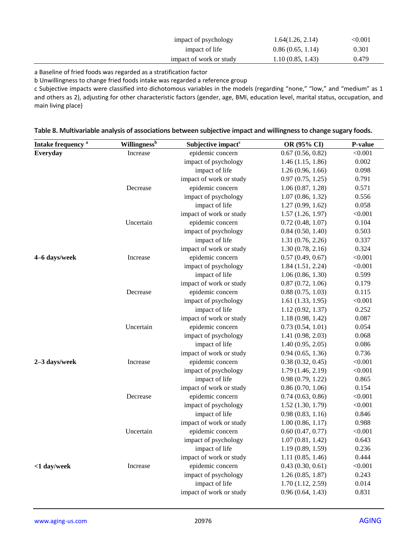| impact of psychology    | 1.64(1.26, 2.14) | $<\!\!0.001$ |
|-------------------------|------------------|--------------|
| impact of life          | 0.86(0.65, 1.14) | 0.301        |
| impact of work or study | 1.10(0.85, 1.43) | 0.479        |

a Baseline of fried foods was regarded as a stratification factor

b Unwillingness to change fried foods intake was regarded a reference group

c Subjective impacts were classified into dichotomous variables in the models (regarding "none," "low," and "medium" as 1 and others as 2), adjusting for other characteristic factors (gender, age, BMI, education level, marital status, occupation, and main living place)

| Intake frequency <sup>a</sup> | <b>Willingness</b> <sup>b</sup> | Subjective impact <sup>c</sup> | OR (95% CI)      | P-value |
|-------------------------------|---------------------------------|--------------------------------|------------------|---------|
| Everyday                      | Increase                        | epidemic concern               | 0.67(0.56, 0.82) | < 0.001 |
|                               |                                 | impact of psychology           | 1.46(1.15, 1.86) | 0.002   |
|                               |                                 | impact of life                 | 1.26(0.96, 1.66) | 0.098   |
|                               |                                 | impact of work or study        | 0.97(0.75, 1.25) | 0.791   |
|                               | Decrease                        | epidemic concern               | 1.06(0.87, 1.28) | 0.571   |
|                               |                                 | impact of psychology           | 1.07(0.86, 1.32) | 0.556   |
|                               |                                 | impact of life                 | 1.27(0.99, 1.62) | 0.058   |
|                               |                                 | impact of work or study        | 1.57(1.26, 1.97) | < 0.001 |
|                               | Uncertain                       | epidemic concern               | 0.72(0.48, 1.07) | 0.104   |
|                               |                                 | impact of psychology           | 0.84(0.50, 1.40) | 0.503   |
|                               |                                 | impact of life                 | 1.31(0.76, 2.26) | 0.337   |
|                               |                                 | impact of work or study        | 1.30(0.78, 2.16) | 0.324   |
| 4-6 days/week                 | Increase                        | epidemic concern               | 0.57(0.49, 0.67) | < 0.001 |
|                               |                                 | impact of psychology           | 1.84(1.51, 2.24) | < 0.001 |
|                               |                                 | impact of life                 | 1.06(0.86, 1.30) | 0.599   |
|                               |                                 | impact of work or study        | 0.87(0.72, 1.06) | 0.179   |
|                               | Decrease                        | epidemic concern               | 0.88(0.75, 1.03) | 0.115   |
|                               |                                 | impact of psychology           | 1.61(1.33, 1.95) | < 0.001 |
|                               |                                 | impact of life                 | 1.12(0.92, 1.37) | 0.252   |
|                               |                                 | impact of work or study        | 1.18(0.98, 1.42) | 0.087   |
|                               | Uncertain                       | epidemic concern               | 0.73(0.54, 1.01) | 0.054   |
|                               |                                 | impact of psychology           | 1.41(0.98, 2.03) | 0.068   |
|                               |                                 | impact of life                 | 1.40(0.95, 2.05) | 0.086   |
|                               |                                 | impact of work or study        | 0.94(0.65, 1.36) | 0.736   |
| 2-3 days/week                 | Increase                        | epidemic concern               | 0.38(0.32, 0.45) | < 0.001 |
|                               |                                 | impact of psychology           | 1.79(1.46, 2.19) | < 0.001 |
|                               |                                 | impact of life                 | 0.98(0.79, 1.22) | 0.865   |
|                               |                                 | impact of work or study        | 0.86(0.70, 1.06) | 0.154   |
|                               | Decrease                        | epidemic concern               | 0.74(0.63, 0.86) | < 0.001 |
|                               |                                 | impact of psychology           | 1.52(1.30, 1.79) | < 0.001 |
|                               |                                 | impact of life                 | 0.98(0.83, 1.16) | 0.846   |
|                               |                                 | impact of work or study        | 1.00(0.86, 1.17) | 0.988   |
|                               | Uncertain                       | epidemic concern               | 0.60(0.47, 0.77) | < 0.001 |
|                               |                                 | impact of psychology           | 1.07(0.81, 1.42) | 0.643   |
|                               |                                 | impact of life                 | 1.19(0.89, 1.59) | 0.236   |
|                               |                                 | impact of work or study        | 1.11(0.85, 1.46) | 0.444   |
| <1 day/week                   | Increase                        | epidemic concern               | 0.43(0.30, 0.61) | < 0.001 |
|                               |                                 | impact of psychology           | 1.26(0.85, 1.87) | 0.243   |
|                               |                                 | impact of life                 | 1.70(1.12, 2.59) | 0.014   |
|                               |                                 | impact of work or study        | 0.96(0.64, 1.43) | 0.831   |

| Table 8. Multivariable analysis of associations between subjective impact and willingness to change sugary foods. |  |
|-------------------------------------------------------------------------------------------------------------------|--|
|-------------------------------------------------------------------------------------------------------------------|--|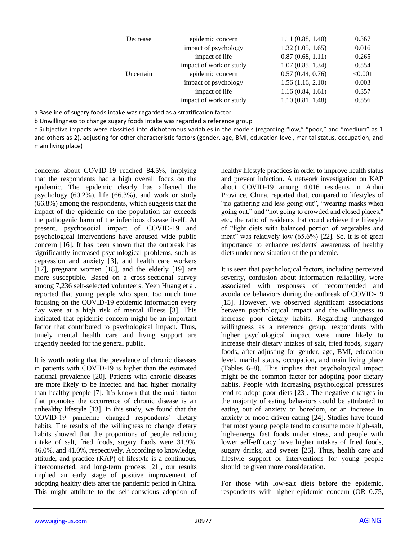| Decrease  | epidemic concern        | 1.11(0.88, 1.40) | 0.367   |
|-----------|-------------------------|------------------|---------|
|           | impact of psychology    | 1.32(1.05, 1.65) | 0.016   |
|           | impact of life          | 0.87(0.68, 1.11) | 0.265   |
|           | impact of work or study | 1.07(0.85, 1.34) | 0.554   |
| Uncertain | epidemic concern        | 0.57(0.44, 0.76) | < 0.001 |
|           | impact of psychology    | 1.56(1.16, 2.10) | 0.003   |
|           | impact of life          | 1.16(0.84, 1.61) | 0.357   |
|           | impact of work or study | 1.10(0.81, 1.48) | 0.556   |

a Baseline of sugary foods intake was regarded as a stratification factor

b Unwillingness to change sugary foods intake was regarded a reference group

c Subjective impacts were classified into dichotomous variables in the models (regarding "low," "poor," and "medium" as 1 and others as 2), adjusting for other characteristic factors (gender, age, BMI, education level, marital status, occupation, and main living place)

concerns about COVID-19 reached 84.5%, implying that the respondents had a high overall focus on the epidemic. The epidemic clearly has affected the psychology (60.2%), life (66.3%), and work or study (66.8%) among the respondents, which suggests that the impact of the epidemic on the population far exceeds the pathogenic harm of the infectious disease itself. At present, psychosocial impact of COVID-19 and psychological interventions have aroused wide public concern [16]. It has been shown that the outbreak has significantly increased psychological problems, such as depression and anxiety [3], and health care workers [17], pregnant women [18], and the elderly [19] are more susceptible. Based on a cross-sectional survey among 7,236 self-selected volunteers, Yeen Huang et al. reported that young people who spent too much time focusing on the COVID-19 epidemic information every day were at a high risk of mental illness [3]. This indicated that epidemic concern might be an important factor that contributed to psychological impact. Thus, timely mental health care and living support are urgently needed for the general public.

It is worth noting that the prevalence of chronic diseases in patients with COVID-19 is higher than the estimated national prevalence [20]. Patients with chronic diseases are more likely to be infected and had higher mortality than healthy people [7]. It's known that the main factor that promotes the occurrence of chronic disease is an unhealthy lifestyle [13]. In this study, we found that the COVID-19 pandemic changed respondents' dietary habits. The results of the willingness to change dietary habits showed that the proportions of people reducing intake of salt, fried foods, sugary foods were 31.9%, 46.0%, and 41.0%, respectively. According to knowledge, attitude, and practice (KAP) of lifestyle is a continuous, interconnected, and long-term process [21], our results implied an early stage of positive improvement of adopting healthy diets after the pandemic period in China. This might attribute to the self-conscious adoption of healthy lifestyle practices in order to improve health status and prevent infection. A network investigation on KAP about COVID-19 among 4,016 residents in Anhui Province, China, reported that, compared to lifestyles of "no gathering and less going out", "wearing masks when going out," and "not going to crowded and closed places," etc., the ratio of residents that could achieve the lifestyle of "light diets with balanced portion of vegetables and meat" was relatively low (65.6%) [22]. So, it is of great importance to enhance residents' awareness of healthy diets under new situation of the pandemic.

It is seen that psychological factors, including perceived severity, confusion about information reliability, were associated with responses of recommended and avoidance behaviors during the outbreak of COVID-19 [15]. However, we observed significant associations between psychological impact and the willingness to increase poor dietary habits. Regarding unchanged willingness as a reference group, respondents with higher psychological impact were more likely to increase their dietary intakes of salt, fried foods, sugary foods, after adjusting for gender, age, BMI, education level, marital status, occupation, and main living place (Tables 6–8). This implies that psychological impact might be the common factor for adopting poor dietary habits. People with increasing psychological pressures tend to adopt poor diets [23]. The negative changes in the majority of eating behaviors could be attributed to eating out of anxiety or boredom, or an increase in anxiety or mood driven eating [24]. Studies have found that most young people tend to consume more high-salt, high-energy fast foods under stress, and people with lower self-efficacy have higher intakes of fried foods, sugary drinks, and sweets [25]. Thus, health care and lifestyle support or interventions for young people should be given more consideration.

For those with low-salt diets before the epidemic, respondents with higher epidemic concern (OR 0.75,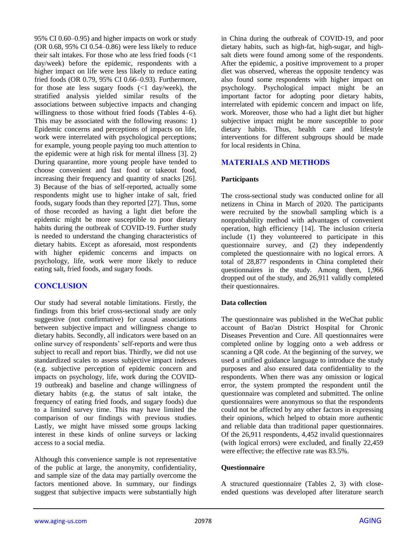95% CI 0.60–0.95) and higher impacts on work or study (OR 0.68, 95% CI 0.54–0.86) were less likely to reduce their salt intakes. For those who ate less fried foods  $\langle$ <1 day/week) before the epidemic, respondents with a higher impact on life were less likely to reduce eating fried foods (OR 0.79, 95% CI 0.66–0.93). Furthermore, for those ate less sugary foods (<1 day/week), the stratified analysis yielded similar results of the associations between subjective impacts and changing willingness to those without fried foods (Tables 4–6). This may be associated with the following reasons: 1) Epidemic concerns and perceptions of impacts on life, work were interrelated with psychological perceptions; for example, young people paying too much attention to the epidemic were at high risk for mental illness [3]. 2) During quarantine, more young people have tended to choose convenient and fast food or takeout food, increasing their frequency and quantity of snacks [26]. 3) Because of the bias of self-reported, actually some respondents might use to higher intake of salt, fried foods, sugary foods than they reported [27]. Thus, some of those recorded as having a light diet before the epidemic might be more susceptible to poor dietary habits during the outbreak of COVID-19. Further study is needed to understand the changing characteristics of dietary habits. Except as aforesaid, most respondents with higher epidemic concerns and impacts on psychology, life, work were more likely to reduce eating salt, fried foods, and sugary foods.

# **CONCLUSION**

Our study had several notable limitations. Firstly, the findings from this brief cross-sectional study are only suggestive (not confirmative) for causal associations between subjective impact and willingness change to dietary habits. Secondly, all indicators were based on an online survey of respondents' self-reports and were thus subject to recall and report bias. Thirdly, we did not use standardized scales to assess subjective impact indexes (e.g. subjective perception of epidemic concern and impacts on psychology, life, work during the COVID-19 outbreak) and baseline and change willingness of dietary habits (e.g. the status of salt intake, the frequency of eating fried foods, and sugary foods) due to a limited survey time. This may have limited the comparison of our findings with previous studies. Lastly, we might have missed some groups lacking interest in these kinds of online surveys or lacking access to a social media.

Although this convenience sample is not representative of the public at large, the anonymity, confidentiality, and sample size of the data may partially overcome the factors mentioned above. In summary, our findings suggest that subjective impacts were substantially high in China during the outbreak of COVID-19, and poor dietary habits, such as high-fat, high-sugar, and highsalt diets were found among some of the respondents. After the epidemic, a positive improvement to a proper diet was observed, whereas the opposite tendency was also found some respondents with higher impact on psychology. Psychological impact might be an important factor for adopting poor dietary habits, interrelated with epidemic concern and impact on life, work. Moreover, those who had a light diet but higher subjective impact might be more susceptible to poor dietary habits. Thus, health care and lifestyle interventions for different subgroups should be made for local residents in China.

## **MATERIALS AND METHODS**

#### **Participants**

The cross-sectional study was conducted online for all netizens in China in March of 2020. The participants were recruited by the snowball sampling which is a nonprobability method with advantages of convenient operation, high efficiency [14]. The inclusion criteria include (1) they volunteered to participate in this questionnaire survey, and (2) they independently completed the questionnaire with no logical errors. A total of 28,877 respondents in China completed their questionnaires in the study. Among them, 1,966 dropped out of the study, and 26,911 validly completed their questionnaires.

#### **Data collection**

The questionnaire was published in the WeChat public account of Bao'an District Hospital for Chronic Diseases Prevention and Cure. All questionnaires were completed online by logging onto a web address or scanning a QR code. At the beginning of the survey, we used a unified guidance language to introduce the study purposes and also ensured data confidentiality to the respondents. When there was any omission or logical error, the system prompted the respondent until the questionnaire was completed and submitted. The online questionnaires were anonymous so that the respondents could not be affected by any other factors in expressing their opinions, which helped to obtain more authentic and reliable data than traditional paper questionnaires. Of the 26,911 respondents, 4,452 invalid questionnaires (with logical errors) were excluded, and finally 22,459 were effective; the effective rate was 83.5%.

#### **Questionnaire**

A structured questionnaire (Tables 2, 3) with closeended questions was developed after literature search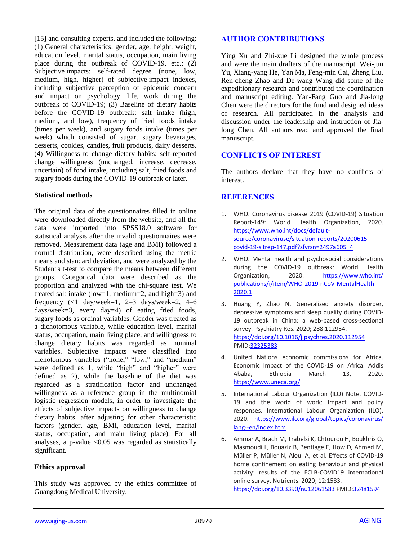[15] and consulting experts, and included the following: (1) General characteristics: gender, age, height, weight, education level, marital status, occupation, main living place during the outbreak of COVID-19, etc.; (2) Subjective impacts: self-rated degree (none, low, medium, high, higher) of subjective impact indexes, including subjective perception of epidemic concern and impact on psychology, life, work during the outbreak of COVID-19; (3) Baseline of dietary habits before the COVID-19 outbreak: salt intake (high, medium, and low), frequency of fried foods intake (times per week), and sugary foods intake (times per week) which consisted of sugar, sugary beverages, desserts, cookies, candies, fruit products, dairy desserts. (4) Willingness to change dietary habits: self-reported change willingness (unchanged, increase, decrease, uncertain) of food intake, including salt, fried foods and sugary foods during the COVID-19 outbreak or later.

#### **Statistical methods**

The original data of the questionnaires filled in online were downloaded directly from the website, and all the data were imported into SPSS18.0 software for statistical analysis after the invalid questionnaires were removed. Measurement data (age and BMI) followed a normal distribution, were described using the metric means and standard deviation, and were analyzed by the Student's t-test to compare the means between different groups. Categorical data were described as the proportion and analyzed with the chi-square test. We treated salt intake (low=1, medium=2, and high=3) and frequency  $\left(\frac{1}{2} \text{ day/week=1}, \frac{2-3}{2} \text{ days/week=2}, \frac{4-6}{2} \right)$ days/week=3, every day=4) of eating fried foods, sugary foods as ordinal variables. Gender was treated as a dichotomous variable, while education level, marital status, occupation, main living place, and willingness to change dietary habits was regarded as nominal variables. Subjective impacts were classified into dichotomous variables ("none," "low," and "medium" were defined as 1, while "high" and "higher" were defined as 2), while the baseline of the diet was regarded as a stratification factor and unchanged willingness as a reference group in the multinomial logistic regression models, in order to investigate the effects of subjective impacts on willingness to change dietary habits, after adjusting for other characteristic factors (gender, age, BMI, education level, marital status, occupation, and main living place). For all analyses, a p-value  $< 0.05$  was regarded as statistically significant.

# **Ethics approval**

This study was approved by the ethics committee of Guangdong Medical University.

# **AUTHOR CONTRIBUTIONS**

Ying Xu and Zhi-xue Li designed the whole process and were the main drafters of the manuscript. Wei-jun Yu, Xiang-yang He, Yan Ma, Feng-min Cai, Zheng Liu, Ren-cheng Zhao and De-wang Wang did some of the expeditionary research and contributed the coordination and manuscript editing. Yan-Fang Guo and Jia-long Chen were the directors for the fund and designed ideas of research. All participated in the analysis and discussion under the leadership and instruction of Jialong Chen. All authors read and approved the final manuscript.

# **CONFLICTS OF INTEREST**

The authors declare that they have no conflicts of interest.

# **REFERENCES**

- 1. WHO. Coronavirus disease 2019 (COVID-19) Situation Report-149: World Health Organization, 2020. [https://www.who.int/docs/default](https://www.who.int/docs/default-source/coronaviruse/situation-reports/20200615-covid-19-sitrep-147.pdf?sfvrsn=2497a605_4)[source/coronaviruse/situation-reports/20200615](https://www.who.int/docs/default-source/coronaviruse/situation-reports/20200615-covid-19-sitrep-147.pdf?sfvrsn=2497a605_4) [covid-19-sitrep-147.pdf?sfvrsn=2497a605\\_4](https://www.who.int/docs/default-source/coronaviruse/situation-reports/20200615-covid-19-sitrep-147.pdf?sfvrsn=2497a605_4)
- 2. WHO. Mental health and psychosocial considerations during the COVID-19 outbreak: World Health Organization, 2020. [https://www.who.int/](https://www.who.int/publications/i/item/WHO-2019-nCoV-MentalHealth-2020.1) [publications/i/item/WHO-2019-nCoV-MentalHealth-](https://www.who.int/publications/i/item/WHO-2019-nCoV-MentalHealth-2020.1)[2020.1](https://www.who.int/publications/i/item/WHO-2019-nCoV-MentalHealth-2020.1)
- 3. Huang Y, Zhao N. Generalized anxiety disorder, depressive symptoms and sleep quality during COVID-19 outbreak in China: a web-based cross-sectional survey. Psychiatry Res. 2020; 288:112954. <https://doi.org/10.1016/j.psychres.2020.112954> PMI[D:32325383](https://pubmed.ncbi.nlm.nih.gov/32325383)
- 4. United Nations economic commissions for Africa. Economic Impact of the COVID-19 on Africa. Addis Ababa, Ethiopia March 13, 2020. <https://www.uneca.org/>
- 5. International Labour Organization (ILO) Note. COVID-19 and the world of work: Impact and policy responses. International Labour Organization (ILO), 2020. [https://www.ilo.org/global/topics/coronavirus/](https://www.ilo.org/global/topics/coronavirus/lang--en/index.htm) [lang--en/index.htm](https://www.ilo.org/global/topics/coronavirus/lang--en/index.htm)
- 6. Ammar A, Brach M, Trabelsi K, Chtourou H, Boukhris O, Masmoudi L, Bouaziz B, Bentlage E, How D, Ahmed M, Müller P, Müller N, Aloui A, et al. Effects of COVID-19 home confinement on eating behaviour and physical activity: results of the ECLB-COVID19 international online survey. Nutrients. 2020; 12:1583. <https://doi.org/10.3390/nu12061583> PMID[:32481594](https://pubmed.ncbi.nlm.nih.gov/32481594)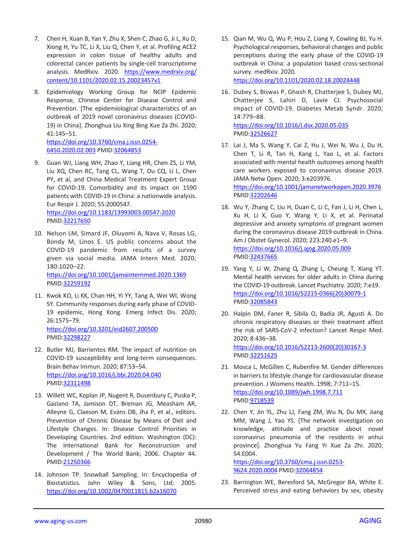- 7. Chen H, Xuan B, Yan Y, Zhu X, Shen C, Zhao G, Ji L, Xu D, Xiong H, Yu TC, Li X, Liu Q, Chen Y, et al. Profiling ACE2 expression in colon tissue of healthy adults and colorectal cancer patients by single-cell transcriptome analysis. MedRxiv. 2020. [https://www.medrxiv.org/](https://www.medrxiv.org/content/10.1101/2020.02.15.20023457v1) [content/10.1101/2020.02.15.20023457v1](https://www.medrxiv.org/content/10.1101/2020.02.15.20023457v1)
- 8. Epidemiology Working Group for NCIP Epidemic Response, Chinese Center for Disease Control and Prevention. [The epidemiological characteristics of an outbreak of 2019 novel coronavirus diseases (COVID-19) in China]. Zhonghua Liu Xing Bing Xue Za Zhi. 2020; 41:145–51. [https://doi.org/10.3760/cma.j.issn.0254-](https://doi.org/10.3760/cma.j.issn.0254-6450.2020.02.003)
	- [6450.2020.02.003](https://doi.org/10.3760/cma.j.issn.0254-6450.2020.02.003) PMID[:32064853](https://pubmed.ncbi.nlm.nih.gov/32064853)
- 9. Guan WJ, Liang WH, Zhao Y, Liang HR, Chen ZS, Li YM, Liu XQ, Chen RC, Tang CL, Wang T, Ou CQ, Li L, Chen PY, et al, and China Medical Treatment Expert Group for COVID-19. Comorbidity and its impact on 1590 patients with COVID-19 in China: a nationwide analysis. Eur Respir J. 2020; 55:2000547. <https://doi.org/10.1183/13993003.00547-2020> PMID[:32217650](https://pubmed.ncbi.nlm.nih.gov/32217650)
- 10. Nelson LM, Simard JF, Oluyomi A, Nava V, Rosas LG, Bondy M, Linos E. US public concerns about the COVID-19 pandemic from results of a survey given via social media. JAMA Intern Med. 2020; 180:1020–22. <https://doi.org/10.1001/jamainternmed.2020.1369> PMID[:32259192](https://pubmed.ncbi.nlm.nih.gov/32259192)
- 11. Kwok KO, Li KK, Chan HH, Yi YY, Tang A, Wei WI, Wong SY. Community responses during early phase of COVID-19 epidemic, Hong Kong. Emerg Infect Dis. 2020; 26:1575–79. <https://doi.org/10.3201/eid2607.200500>

PMID[:32298227](https://pubmed.ncbi.nlm.nih.gov/32298227)

- 12. Butler MJ, Barrientos RM. The impact of nutrition on COVID-19 susceptibility and long-term consequences. Brain Behav Immun. 2020; 87:53–54. <https://doi.org/10.1016/j.bbi.2020.04.040> PMID[:32311498](https://pubmed.ncbi.nlm.nih.gov/32311498)
- 13. Willett WC, Koplan JP, Nugent R, Dusenbury C, Puska P, Gaziano TA, Jamison DT, Breman JG, Measham AR, Alleyne G, Claeson M, Evans DB, Jha P, et al., editors. Prevention of Chronic Disease by Means of Diet and Lifestyle Changes. In: Disease Control Priorities in Developing Countries. 2nd edition. Washington (DC): The International Bank for Reconstruction and Development / The World Bank; 2006. Chapter 44. PMID[:21250366](https://pubmed.ncbi.nlm.nih.gov/21250366/)
- 14. Johnson TP. Snowball Sampling. In: Encyclopedia of Biostatistics. John Wiley & Sons, Ltd; 2005. [https://doi.org/10.1002/0470011815.b2a16070](https://onlinelibrary.wiley.com/doi/full/10.1002/0470011815.b2a16070)

15. Qian M, Wu Q, Wu P, Hou Z, Liang Y, Cowling BJ, Yu H. Psychological responses, behavioral changes and public perceptions during the early phase of the COVID-19 outbreak in China: a population based cross-sectional survey. medRxiv. 2020. <https://doi.org/10.1101/2020.02.18.20024448>

16. Dubey S, Biswas P, Ghosh R, Chatterjee S, Dubey MJ, Chatterjee S, Lahiri D, Lavie CJ. Psychosocial impact of COVID-19. Diabetes Metab Syndr. 2020; 14:779–88. <https://doi.org/10.1016/j.dsx.2020.05.035> PMI[D:32526627](https://pubmed.ncbi.nlm.nih.gov/32526627)

- 17. Lai J, Ma S, Wang Y, Cai Z, Hu J, Wei N, Wu J, Du H, Chen T, Li R, Tan H, Kang L, Yao L, et al. Factors associated with mental health outcomes among health care workers exposed to coronavirus disease 2019. JAMA Netw Open. 2020; 3:e203976. <https://doi.org/10.1001/jamanetworkopen.2020.3976> PMI[D:32202646](https://pubmed.ncbi.nlm.nih.gov/32202646)
- 18. Wu Y, Zhang C, Liu H, Duan C, Li C, Fan J, Li H, Chen L, Xu H, Li X, Guo Y, Wang Y, Li X, et al. Perinatal depressive and anxiety symptoms of pregnant women during the coronavirus disease 2019 outbreak in China. Am J Obstet Gynecol. 2020; 223:240.e1–9. <https://doi.org/10.1016/j.ajog.2020.05.009> PMI[D:32437665](https://pubmed.ncbi.nlm.nih.gov/32437665)
- 19. Yang Y, Li W, Zhang Q, Zhang L, Cheung T, Xiang YT. Mental health services for older adults in China during the COVID-19 outbreak. Lancet Psychiatry. 2020; 7:e19. [https://doi.org/10.1016/S2215-0366\(20\)30079-1](https://doi.org/10.1016/S2215-0366(20)30079-1) PMI[D:32085843](https://pubmed.ncbi.nlm.nih.gov/32085843)
- 20. Halpin DM, Faner R, Sibila O, Badia JR, Agusti A. Do chronic respiratory diseases or their treatment affect the risk of SARS-CoV-2 infection? Lancet Respir Med. 2020; 8:436–38. [https://doi.org/10.1016/S2213-2600\(20\)30167-3](https://doi.org/10.1016/S2213-2600(20)30167-3) PMI[D:32251625](https://pubmed.ncbi.nlm.nih.gov/32251625)
- 21. Mosca L, McGillen C, Rubenfire M. Gender differences in barriers to lifestyle change for cardiovascular disease prevention. J Womens Health. 1998; 7:711–15. <https://doi.org/10.1089/jwh.1998.7.711> PMI[D:9718539](https://pubmed.ncbi.nlm.nih.gov/9718539)
- 22. Chen Y, Jin YL, Zhu LJ, Fang ZM, Wu N, Du MX, Jiang MM, Wang J, Yao YS. [The network investigation on knowledge, attitude and practice about novel coronavirus pneumonia of the residents in anhui province]. Zhonghua Yu Fang Yi Xue Za Zhi. 2020; 54:E004.

[https://doi.org/10.3760/cma.j.issn.0253-](https://doi.org/10.3760/cma.j.issn.0253-9624.2020.0004) [9624.2020.0004](https://doi.org/10.3760/cma.j.issn.0253-9624.2020.0004) PMID[:32064854](https://pubmed.ncbi.nlm.nih.gov/32064854)

23. Barrington WE, Beresford SA, McGregor BA, White E. Perceived stress and eating behaviors by sex, obesity